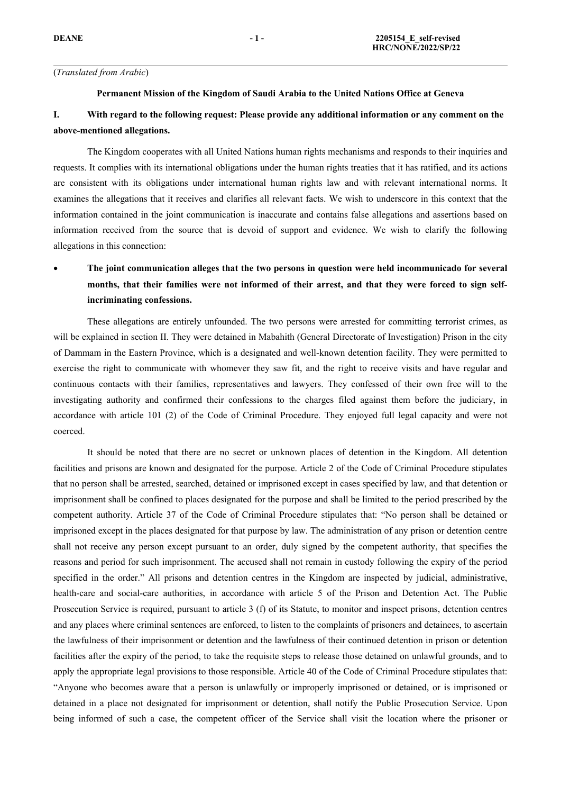### (*Translated from Arabic*)

### **Permanent Mission of the Kingdom of Saudi Arabia to the United Nations Office at Geneva**

## I. With regard to the following request: Please provide any additional information or any comment on the **above-mentioned allegations.**

The Kingdom cooperates with all United Nations human rights mechanisms and responds to their inquiries and requests. It complies with its international obligations under the human rights treaties that it has ratified, and its actions are consistent with its obligations under international human rights law and with relevant international norms. It examines the allegations that it receives and clarifies all relevant facts. We wish to underscore in this context that the information contained in the joint communication is inaccurate and contains false allegations and assertions based on information received from the source that is devoid of suppor<sup>t</sup> and evidence. We wish to clarify the following allegations in this connection:

### c **The joint communication alleges that the two persons in question were held incommunicado for several** months, that their families were not informed of their arrest, and that they were forced to sign self**incriminating confessions.**

These allegations are entirely unfounded. The two persons were arrested for committing terrorist crimes, as will be explained in section II. They were detained in Mabahith (General Directorate of Investigation) Prison in the city of Dammam in the Eastern Province, which is <sup>a</sup> designated and well-known detention facility. They were permitted to exercise the right to communicate with whomever they saw fit, and the right to receive visits and have regular and continuous contacts with their families, representatives and lawyers. They confessed of their own free will to the investigating authority and confirmed their confessions to the charges filed against them before the judiciary, in accordance with article 101 (2) of the Code of Criminal Procedure. They enjoyed full legal capacity and were not coerced.

It should be noted that there are no secret or unknown places of detention in the Kingdom. All detention facilities and prisons are known and designated for the purpose. Article 2 of the Code of Criminal Procedure stipulates that no person shall be arrested, searched, detained or imprisoned excep<sup>t</sup> in cases specified by law, and that detention or imprisonment shall be confined to places designated for the purpose and shall be limited to the period prescribed by the competent authority. Article 37 of the Code of Criminal Procedure stipulates that: "No person shall be detained or imprisoned excep<sup>t</sup> in the places designated for that purpose by law. The administration of any prison or detention centre shall not receive any person excep<sup>t</sup> pursuan<sup>t</sup> to an order, duly signed by the competent authority, that specifies the reasons and period for such imprisonment. The accused shall not remain in custody following the expiry of the period specified in the order." All prisons and detention centres in the Kingdom are inspected by judicial, administrative, health-care and social-care authorities, in accordance with article 5 of the Prison and Detention Act. The Public Prosecution Service is required, pursuan<sup>t</sup> to article 3 (f) of its Statute, to monitor and inspect prisons, detention centres and any places where criminal sentences are enforced, to listen to the complaints of prisoners and detainees, to ascertain the lawfulness of their imprisonment or detention and the lawfulness of their continued detention in prison or detention facilities after the expiry of the period, to take the requisite steps to release those detained on unlawful grounds, and to apply the appropriate legal provisions to those responsible. Article 40 of the Code of Criminal Procedure stipulates that: "Anyone who becomes aware that <sup>a</sup> person is unlawfully or improperly imprisoned or detained, or is imprisoned or detained in <sup>a</sup> place not designated for imprisonment or detention, shall notify the Public Prosecution Service. Upon being informed of such <sup>a</sup> case, the competent officer of the Service shall visit the location where the prisoner or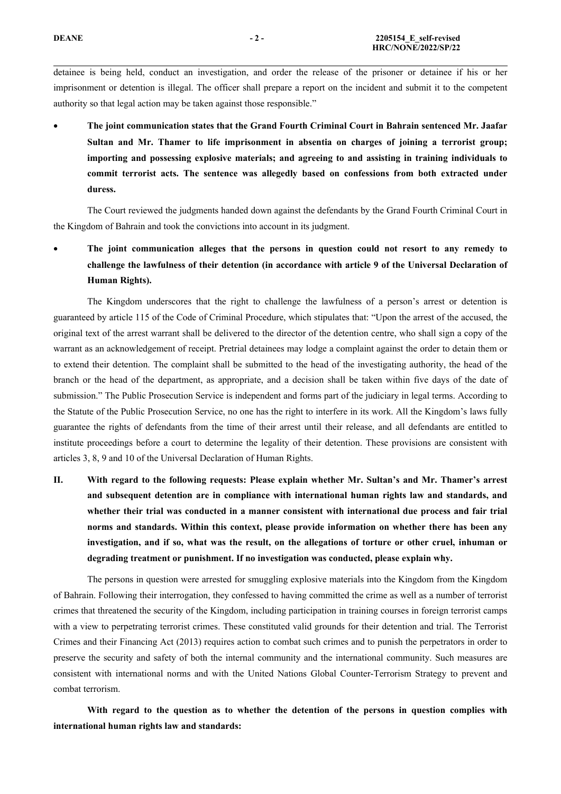detainee is being held, conduct an investigation, and order the release of the prisoner or detainee if his or her imprisonment or detention is illegal. The officer shall prepare <sup>a</sup> repor<sup>t</sup> on the incident and submit it to the competent authority so that legal action may be taken against those responsible."

c **The joint communication states that the Grand Fourth Criminal Court in Bahrain sentenced Mr. Jaafar Sultan and Mr. Thamer to life imprisonment in absentia on charges of joining <sup>a</sup> terrorist group; importing and possessing explosive materials; and agreeing to and assisting in training individuals to commit terrorist acts. The sentence was allegedly based on confessions from both extracted under duress.**

The Court reviewed the judgments handed down against the defendants by the Grand Fourth Criminal Court in the Kingdom of Bahrain and took the convictions into account in its judgment.

c **The joint communication alleges that the persons in question could not resort to any remedy to challenge the lawfulness of their detention (in accordance with article 9 of the Universal Declaration of Human Rights).**

The Kingdom underscores that the right to challenge the lawfulness of <sup>a</sup> person'<sup>s</sup> arrest or detention is guaranteed by article 115 of the Code of Criminal Procedure, which stipulates that: "Upon the arrest of the accused, the original text of the arrest warrant shall be delivered to the director of the detention centre, who shall sign <sup>a</sup> copy of the warrant as an acknowledgement of receipt. Pretrial detainees may lodge <sup>a</sup> complaint against the order to detain them or to extend their detention. The complaint shall be submitted to the head of the investigating authority, the head of the branch or the head of the department, as appropriate, and <sup>a</sup> decision shall be taken within five days of the date of submission." The Public Prosecution Service is independent and forms par<sup>t</sup> of the judiciary in legal terms. According to the Statute of the Public Prosecution Service, no one has the right to interfere in its work. All the Kingdom'<sup>s</sup> laws fully guarantee the rights of defendants from the time of their arrest until their release, and all defendants are entitled to institute proceedings before <sup>a</sup> court to determine the legality of their detention. These provisions are consistent with articles 3, 8, 9 and 10 of the Universal Declaration of Human Rights.

II. With regard to the following requests: Please explain whether Mr. Sultan's and Mr. Thamer's arrest **and subsequent detention are in compliance with international human rights law and standards, and whether their trial was conducted in <sup>a</sup> manner consistent with international due process and fair trial norms and standards. Within this context, please provide information on whether there has been any** investigation, and if so, what was the result, on the allegations of torture or other cruel, inhuman or **degrading treatment or punishment. If no investigation was conducted, please explain why.**

The persons in question were arrested for smuggling explosive materials into the Kingdom from the Kingdom of Bahrain. Following their interrogation, they confessed to having committed the crime as well as <sup>a</sup> number of terrorist crimes that threatened the security of the Kingdom, including participation in training courses in foreign terrorist camps with <sup>a</sup> view to perpetrating terrorist crimes. These constituted valid grounds for their detention and trial. The Terrorist Crimes and their Financing Act (2013) requires action to combat such crimes and to punish the perpetrators in order to preserve the security and safety of both the internal community and the international community. Such measures are consistent with international norms and with the United Nations Global Counter-Terrorism Strategy to preven<sup>t</sup> and combat terrorism.

With regard to the question as to whether the detention of the persons in question complies with **international human rights law and standards:**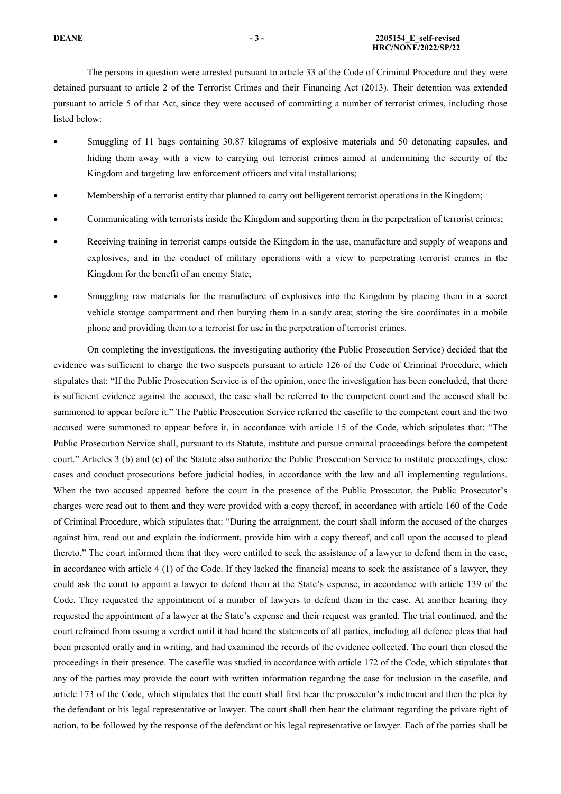The persons in question were arrested pursuan<sup>t</sup> to article 33 of the Code of Criminal Procedure and they were detained pursuan<sup>t</sup> to article 2 of the Terrorist Crimes and their Financing Act (2013). Their detention was extended pursuan<sup>t</sup> to article 5 of that Act, since they were accused of committing <sup>a</sup> number of terrorist crimes, including those listed below:

- c Smuggling of 11 bags containing 30.87 kilograms of explosive materials and 50 detonating capsules, and hiding them away with <sup>a</sup> view to carrying out terrorist crimes aimed at undermining the security of the Kingdom and targeting law enforcement officers and vital installations;
- c Membership of <sup>a</sup> terrorist entity that planned to carry out belligerent terrorist operations in the Kingdom;
- c Communicating with terrorists inside the Kingdom and supporting them in the perpetration of terrorist crimes;
- c Receiving training in terrorist camps outside the Kingdom in the use, manufacture and supply of weapons and explosives, and in the conduct of military operations with <sup>a</sup> view to perpetrating terrorist crimes in the Kingdom for the benefit of an enemy State;
- c Smuggling raw materials for the manufacture of explosives into the Kingdom by placing them in <sup>a</sup> secret vehicle storage compartment and then burying them in <sup>a</sup> sandy area; storing the site coordinates in <sup>a</sup> mobile phone and providing them to <sup>a</sup> terrorist for use in the perpetration of terrorist crimes.

On completing the investigations, the investigating authority (the Public Prosecution Service) decided that the evidence was sufficient to charge the two suspects pursuan<sup>t</sup> to article 126 of the Code of Criminal Procedure, which stipulates that: "If the Public Prosecution Service is of the opinion, once the investigation has been concluded, that there is sufficient evidence against the accused, the case shall be referred to the competent court and the accused shall be summoned to appear before it." The Public Prosecution Service referred the casefile to the competent court and the two accused were summoned to appear before it, in accordance with article 15 of the Code, which stipulates that: "The Public Prosecution Service shall, pursuan<sup>t</sup> to its Statute, institute and pursue criminal proceedings before the competent court." Articles 3 (b) and (c) of the Statute also authorize the Public Prosecution Service to institute proceedings, close cases and conduct prosecutions before judicial bodies, in accordance with the law and all implementing regulations. When the two accused appeared before the court in the presence of the Public Prosecutor, the Public Prosecutor'<sup>s</sup> charges were read out to them and they were provided with <sup>a</sup> copy thereof, in accordance with article 160 of the Code of Criminal Procedure, which stipulates that: "During the arraignment, the court shall inform the accused of the charges against him, read out and explain the indictment, provide him with <sup>a</sup> copy thereof, and call upon the accused to plead thereto." The court informed them that they were entitled to seek the assistance of <sup>a</sup> lawyer to defend them in the case, in accordance with article 4 (1) of the Code. If they lacked the financial means to seek the assistance of <sup>a</sup> lawyer, they could ask the court to appoint <sup>a</sup> lawyer to defend them at the State'<sup>s</sup> expense, in accordance with article 139 of the Code. They requested the appointment of <sup>a</sup> number of lawyers to defend them in the case. At another hearing they requested the appointment of <sup>a</sup> lawyer at the State'<sup>s</sup> expense and their reques<sup>t</sup> was granted. The trial continued, and the court refrained from issuing <sup>a</sup> verdict until it had heard the statements of all parties, including all defence pleas that had been presented orally and in writing, and had examined the records of the evidence collected. The court then closed the proceedings in their presence. The casefile was studied in accordance with article 172 of the Code, which stipulates that any of the parties may provide the court with written information regarding the case for inclusion in the casefile, and article 173 of the Code, which stipulates that the court shall first hear the prosecutor'<sup>s</sup> indictment and then the plea by the defendant or his legal representative or lawyer. The court shall then hear the claimant regarding the private right of action, to be followed by the response of the defendant or his legal representative or lawyer. Each of the parties shall be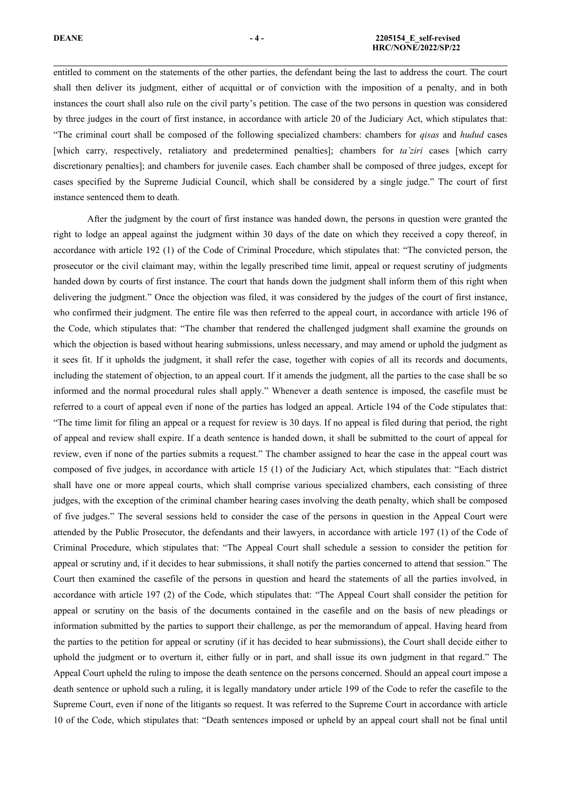entitled to comment on the statements of the other parties, the defendant being the last to address the court. The court shall then deliver its judgment, either of acquittal or of conviction with the imposition of <sup>a</sup> penalty, and in both instances the court shall also rule on the civil party'<sup>s</sup> petition. The case of the two persons in question was considered by three judges in the court of first instance, in accordance with article 20 of the Judiciary Act, which stipulates that: "The criminal court shall be composed of the following specialized chambers: chambers for *qisas* and *hudud* cases [which carry, respectively, retaliatory and predetermined penalties]; chambers for *ta'ziri* cases [which carry discretionary penalties]; and chambers for juvenile cases. Each chamber shall be composed of three judges, excep<sup>t</sup> for cases specified by the Supreme Judicial Council, which shall be considered by <sup>a</sup> single judge." The court of first instance sentenced them to death.

After the judgment by the court of first instance was handed down, the persons in question were granted the right to lodge an appeal against the judgment within 30 days of the date on which they received <sup>a</sup> copy thereof, in accordance with article 192 (1) of the Code of Criminal Procedure, which stipulates that: "The convicted person, the prosecutor or the civil claimant may, within the legally prescribed time limit, appeal or reques<sup>t</sup> scrutiny of judgments handed down by courts of first instance. The court that hands down the judgment shall inform them of this right when delivering the judgment." Once the objection was filed, it was considered by the judges of the court of first instance, who confirmed their judgment. The entire file was then referred to the appeal court, in accordance with article 196 of the Code, which stipulates that: "The chamber that rendered the challenged judgment shall examine the grounds on which the objection is based without hearing submissions, unless necessary, and may amend or uphold the judgment as it sees fit. If it upholds the judgment, it shall refer the case, together with copies of all its records and documents, including the statement of objection, to an appeal court. If it amends the judgment, all the parties to the case shall be so informed and the normal procedural rules shall apply." Whenever <sup>a</sup> death sentence is imposed, the casefile must be referred to <sup>a</sup> court of appeal even if none of the parties has lodged an appeal. Article 194 of the Code stipulates that: "The time limit for filing an appeal or <sup>a</sup> reques<sup>t</sup> for review is 30 days. If no appeal is filed during that period, the right of appeal and review shall expire. If <sup>a</sup> death sentence is handed down, it shall be submitted to the court of appeal for review, even if none of the parties submits <sup>a</sup> request." The chamber assigned to hear the case in the appeal court was composed of five judges, in accordance with article 15 (1) of the Judiciary Act, which stipulates that: "Each district shall have one or more appeal courts, which shall comprise various specialized chambers, each consisting of three judges, with the exception of the criminal chamber hearing cases involving the death penalty, which shall be composed of five judges." The several sessions held to consider the case of the persons in question in the Appeal Court were attended by the Public Prosecutor, the defendants and their lawyers, in accordance with article 197 (1) of the Code of Criminal Procedure, which stipulates that: "The Appeal Court shall schedule <sup>a</sup> session to consider the petition for appeal or scrutiny and, if it decides to hear submissions, it shall notify the parties concerned to attend that session." The Court then examined the casefile of the persons in question and heard the statements of all the parties involved, in accordance with article 197 (2) of the Code, which stipulates that: "The Appeal Court shall consider the petition for appeal or scrutiny on the basis of the documents contained in the casefile and on the basis of new pleadings or information submitted by the parties to suppor<sup>t</sup> their challenge, as per the memorandum of appeal. Having heard from the parties to the petition for appeal or scrutiny (if it has decided to hear submissions), the Court shall decide either to uphold the judgment or to overturn it, either fully or in part, and shall issue its own judgment in that regard." The Appeal Court upheld the ruling to impose the death sentence on the persons concerned. Should an appeal court impose <sup>a</sup> death sentence or uphold such <sup>a</sup> ruling, it is legally mandatory under article 199 of the Code to refer the casefile to the Supreme Court, even if none of the litigants so request. It was referred to the Supreme Court in accordance with article 10 of the Code, which stipulates that: "Death sentences imposed or upheld by an appeal court shall not be final until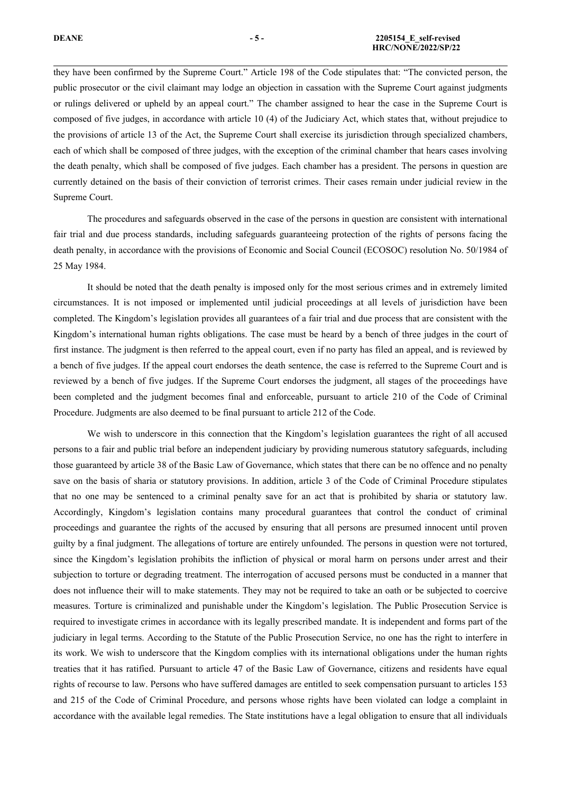they have been confirmed by the Supreme Court." Article 198 of the Code stipulates that: "The convicted person, the public prosecutor or the civil claimant may lodge an objection in cassation with the Supreme Court against judgments or rulings delivered or upheld by an appeal court." The chamber assigned to hear the case in the Supreme Court is composed of five judges, in accordance with article 10 (4) of the Judiciary Act, which states that, without prejudice to the provisions of article 13 of the Act, the Supreme Court shall exercise its jurisdiction through specialized chambers, each of which shall be composed of three judges, with the exception of the criminal chamber that hears cases involving the death penalty, which shall be composed of five judges. Each chamber has <sup>a</sup> president. The persons in question are currently detained on the basis of their conviction of terrorist crimes. Their cases remain under judicial review in the Supreme Court.

The procedures and safeguards observed in the case of the persons in question are consistent with international fair trial and due process standards, including safeguards guaranteeing protection of the rights of persons facing the death penalty, in accordance with the provisions of Economic and Social Council (ECOSOC) resolution No. 50/1984 of 25 May 1984.

It should be noted that the death penalty is imposed only for the most serious crimes and in extremely limited circumstances. It is not imposed or implemented until judicial proceedings at all levels of jurisdiction have been completed. The Kingdom'<sup>s</sup> legislation provides all guarantees of <sup>a</sup> fair trial and due process that are consistent with the Kingdom'<sup>s</sup> international human rights obligations. The case must be heard by <sup>a</sup> bench of three judges in the court of first instance. The judgment is then referred to the appeal court, even if no party has filed an appeal, and is reviewed by <sup>a</sup> bench of five judges. If the appeal court endorses the death sentence, the case is referred to the Supreme Court and is reviewed by <sup>a</sup> bench of five judges. If the Supreme Court endorses the judgment, all stages of the proceedings have been completed and the judgment becomes final and enforceable, pursuan<sup>t</sup> to article 210 of the Code of Criminal Procedure. Judgments are also deemed to be final pursuan<sup>t</sup> to article 212 of the Code.

We wish to underscore in this connection that the Kingdom'<sup>s</sup> legislation guarantees the right of all accused persons to <sup>a</sup> fair and public trial before an independent judiciary by providing numerous statutory safeguards, including those guaranteed by article 38 of the Basic Law of Governance, which states that there can be no offence and no penalty save on the basis of sharia or statutory provisions. In addition, article 3 of the Code of Criminal Procedure stipulates that no one may be sentenced to <sup>a</sup> criminal penalty save for an act that is prohibited by sharia or statutory law. Accordingly, Kingdom'<sup>s</sup> legislation contains many procedural guarantees that control the conduct of criminal proceedings and guarantee the rights of the accused by ensuring that all persons are presumed innocent until proven guilty by <sup>a</sup> final judgment. The allegations of torture are entirely unfounded. The persons in question were not tortured, since the Kingdom'<sup>s</sup> legislation prohibits the infliction of physical or moral harm on persons under arrest and their subjection to torture or degrading treatment. The interrogation of accused persons must be conducted in <sup>a</sup> manner that does not influence their will to make statements. They may not be required to take an oath or be subjected to coercive measures. Torture is criminalized and punishable under the Kingdom'<sup>s</sup> legislation. The Public Prosecution Service is required to investigate crimes in accordance with its legally prescribed mandate. It is independent and forms par<sup>t</sup> of the judiciary in legal terms. According to the Statute of the Public Prosecution Service, no one has the right to interfere in its work. We wish to underscore that the Kingdom complies with its international obligations under the human rights treaties that it has ratified. Pursuant to article 47 of the Basic Law of Governance, citizens and residents have equal rights of recourse to law. Persons who have suffered damages are entitled to seek compensation pursuan<sup>t</sup> to articles 153 and 215 of the Code of Criminal Procedure, and persons whose rights have been violated can lodge <sup>a</sup> complaint in accordance with the available legal remedies. The State institutions have <sup>a</sup> legal obligation to ensure that all individuals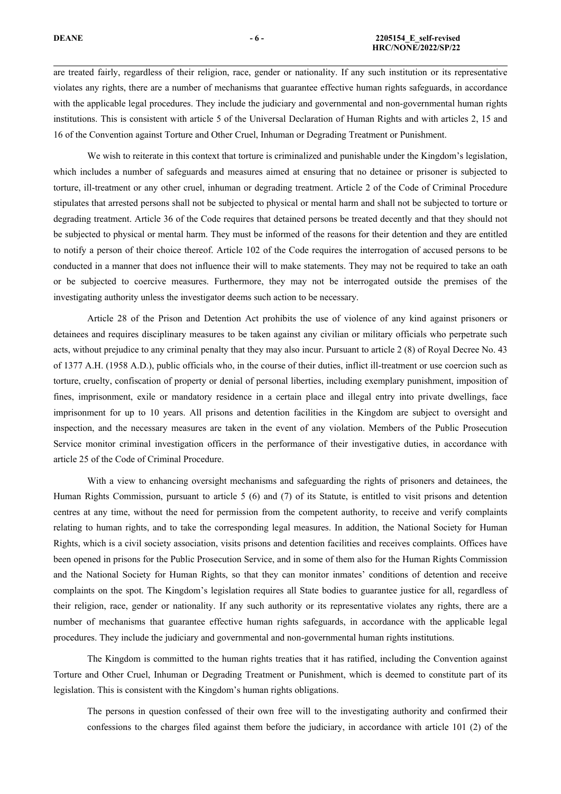are treated fairly, regardless of their religion, race, gender or nationality. If any such institution or its representative violates any rights, there are <sup>a</sup> number of mechanisms that guarantee effective human rights safeguards, in accordance with the applicable legal procedures. They include the judiciary and governmental and non-governmental human rights institutions. This is consistent with article 5 of the Universal Declaration of Human Rights and with articles 2, 15 and 16 of the Convention against Torture and Other Cruel, Inhuman or Degrading Treatment or Punishment.

We wish to reiterate in this context that torture is criminalized and punishable under the Kingdom's legislation, which includes <sup>a</sup> number of safeguards and measures aimed at ensuring that no detainee or prisoner is subjected to torture, ill-treatment or any other cruel, inhuman or degrading treatment. Article 2 of the Code of Criminal Procedure stipulates that arrested persons shall not be subjected to physical or mental harm and shall not be subjected to torture or degrading treatment. Article 36 of the Code requires that detained persons be treated decently and that they should not be subjected to physical or mental harm. They must be informed of the reasons for their detention and they are entitled to notify <sup>a</sup> person of their choice thereof. Article 102 of the Code requires the interrogation of accused persons to be conducted in <sup>a</sup> manner that does not influence their will to make statements. They may not be required to take an oath or be subjected to coercive measures. Furthermore, they may not be interrogated outside the premises of the investigating authority unless the investigator deems such action to be necessary.

Article 28 of the Prison and Detention Act prohibits the use of violence of any kind against prisoners or detainees and requires disciplinary measures to be taken against any civilian or military officials who perpetrate such acts, without prejudice to any criminal penalty that they may also incur. Pursuant to article 2 (8) of Royal Decree No. 43 of 1377 A.H. (1958 A.D.), public officials who, in the course of their duties, inflict ill-treatment or use coercion such as torture, cruelty, confiscation of property or denial of personal liberties, including exemplary punishment, imposition of fines, imprisonment, exile or mandatory residence in <sup>a</sup> certain place and illegal entry into private dwellings, face imprisonment for up to 10 years. All prisons and detention facilities in the Kingdom are subject to oversight and inspection, and the necessary measures are taken in the event of any violation. Members of the Public Prosecution Service monitor criminal investigation officers in the performance of their investigative duties, in accordance with article 25 of the Code of Criminal Procedure.

With <sup>a</sup> view to enhancing oversight mechanisms and safeguarding the rights of prisoners and detainees, the Human Rights Commission, pursuan<sup>t</sup> to article 5 (6) and (7) of its Statute, is entitled to visit prisons and detention centres at any time, without the need for permission from the competent authority, to receive and verify complaints relating to human rights, and to take the corresponding legal measures. In addition, the National Society for Human Rights, which is <sup>a</sup> civil society association, visits prisons and detention facilities and receives complaints. Offices have been opened in prisons for the Public Prosecution Service, and in some of them also for the Human Rights Commission and the National Society for Human Rights, so that they can monitor inmates' conditions of detention and receive complaints on the spot. The Kingdom'<sup>s</sup> legislation requires all State bodies to guarantee justice for all, regardless of their religion, race, gender or nationality. If any such authority or its representative violates any rights, there are <sup>a</sup> number of mechanisms that guarantee effective human rights safeguards, in accordance with the applicable legal procedures. They include the judiciary and governmental and non-governmental human rights institutions.

The Kingdom is committed to the human rights treaties that it has ratified, including the Convention against Torture and Other Cruel, Inhuman or Degrading Treatment or Punishment, which is deemed to constitute par<sup>t</sup> of its legislation. This is consistent with the Kingdom'<sup>s</sup> human rights obligations.

The persons in question confessed of their own free will to the investigating authority and confirmed their confessions to the charges filed against them before the judiciary, in accordance with article 101 (2) of the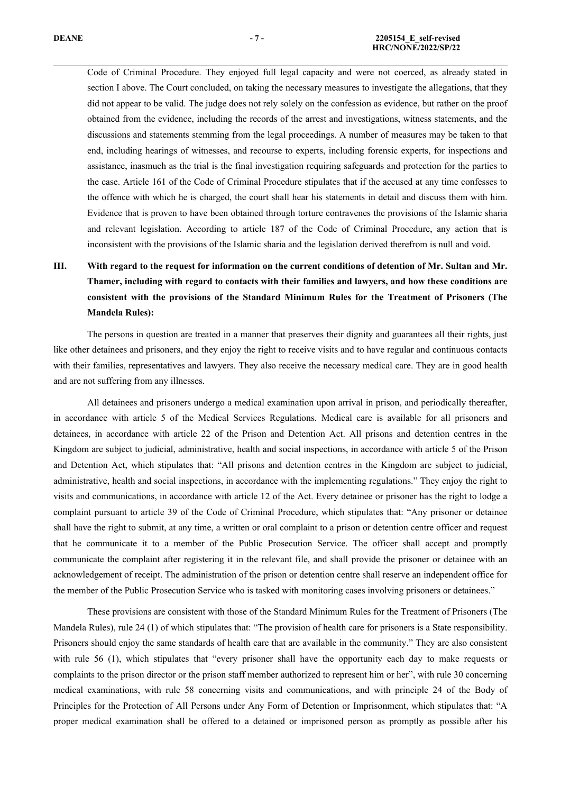Code of Criminal Procedure. They enjoyed full legal capacity and were not coerced, as already stated in section I above. The Court concluded, on taking the necessary measures to investigate the allegations, that they did not appear to be valid. The judge does not rely solely on the confession as evidence, but rather on the proof obtained from the evidence, including the records of the arrest and investigations, witness statements, and the discussions and statements stemming from the legal proceedings. A number of measures may be taken to that end, including hearings of witnesses, and recourse to experts, including forensic experts, for inspections and assistance, inasmuch as the trial is the final investigation requiring safeguards and protection for the parties to the case. Article 161 of the Code of Criminal Procedure stipulates that if the accused at any time confesses to the offence with which he is charged, the court shall hear his statements in detail and discuss them with him. Evidence that is proven to have been obtained through torture contravenes the provisions of the Islamic sharia and relevant legislation. According to article 187 of the Code of Criminal Procedure, any action that is inconsistent with the provisions of the Islamic sharia and the legislation derived therefrom is null and void.

# III. With regard to the request for information on the current conditions of detention of Mr. Sultan and Mr. **Thamer, including with regard to contacts with their families and lawyers, and how these conditions are consistent with the provisions of the Standard Minimum Rules for the Treatment of Prisoners (The Mandela Rules):**

The persons in question are treated in <sup>a</sup> manner that preserves their dignity and guarantees all their rights, just like other detainees and prisoners, and they enjoy the right to receive visits and to have regular and continuous contacts with their families, representatives and lawyers. They also receive the necessary medical care. They are in good health and are not suffering from any illnesses.

All detainees and prisoners undergo <sup>a</sup> medical examination upon arrival in prison, and periodically thereafter, in accordance with article 5 of the Medical Services Regulations. Medical care is available for all prisoners and detainees, in accordance with article 22 of the Prison and Detention Act. All prisons and detention centres in the Kingdom are subject to judicial, administrative, health and social inspections, in accordance with article 5 of the Prison and Detention Act, which stipulates that: "All prisons and detention centres in the Kingdom are subject to judicial, administrative, health and social inspections, in accordance with the implementing regulations." They enjoy the right to visits and communications, in accordance with article 12 of the Act. Every detainee or prisoner has the right to lodge <sup>a</sup> complaint pursuan<sup>t</sup> to article 39 of the Code of Criminal Procedure, which stipulates that: "Any prisoner or detainee shall have the right to submit, at any time, <sup>a</sup> written or oral complaint to <sup>a</sup> prison or detention centre officer and reques<sup>t</sup> that he communicate it to <sup>a</sup> member of the Public Prosecution Service. The officer shall accep<sup>t</sup> and promptly communicate the complaint after registering it in the relevant file, and shall provide the prisoner or detainee with an acknowledgement of receipt. The administration of the prison or detention centre shall reserve an independent office for the member of the Public Prosecution Service who is tasked with monitoring cases involving prisoners or detainees."

These provisions are consistent with those of the Standard Minimum Rules for the Treatment of Prisoners (The Mandela Rules), rule 24 (1) of which stipulates that: "The provision of health care for prisoners is <sup>a</sup> State responsibility. Prisoners should enjoy the same standards of health care that are available in the community." They are also consistent with rule 56 (1), which stipulates that "every prisoner shall have the opportunity each day to make requests or complaints to the prison director or the prison staff member authorized to represen<sup>t</sup> him or her", with rule 30 concerning medical examinations, with rule 58 concerning visits and communications, and with principle 24 of the Body of Principles for the Protection of All Persons under Any Form of Detention or Imprisonment, which stipulates that: "A proper medical examination shall be offered to <sup>a</sup> detained or imprisoned person as promptly as possible after his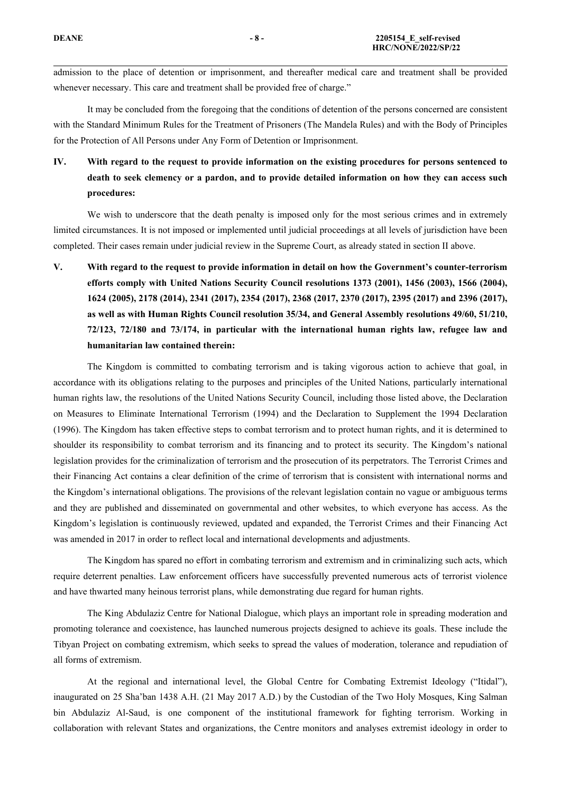admission to the place of detention or imprisonment, and thereafter medical care and treatment shall be provided whenever necessary. This care and treatment shall be provided free of charge."

It may be concluded from the foregoing that the conditions of detention of the persons concerned are consistent with the Standard Minimum Rules for the Treatment of Prisoners (The Mandela Rules) and with the Body of Principles for the Protection of All Persons under Any Form of Detention or Imprisonment.

IV. With regard to the request to provide information on the existing procedures for persons sentenced to death to seek clemency or a pardon, and to provide detailed information on how they can access such **procedures:**

We wish to underscore that the death penalty is imposed only for the most serious crimes and in extremely limited circumstances. It is not imposed or implemented until judicial proceedings at all levels of jurisdiction have been completed. Their cases remain under judicial review in the Supreme Court, as already stated in section II above.

V. With regard to the request to provide information in detail on how the Government's counter-terrorism **efforts comply with United Nations Security Council resolutions 1373 (2001), 1456 (2003), 1566 (2004), 1624 (2005), 2178 (2014), 2341 (2017), 2354 (2017), 2368 (2017, 2370 (2017), 2395 (2017) and 2396 (2017), as well as with Human Rights Council resolution 35/34, and General Assembly resolutions 49/60, 51/210, 72/123, 72/180 and 73/174, in particular with the international human rights law, refugee law and humanitarian law contained therein:**

The Kingdom is committed to combating terrorism and is taking vigorous action to achieve that goal, in accordance with its obligations relating to the purposes and principles of the United Nations, particularly international human rights law, the resolutions of the United Nations Security Council, including those listed above, the Declaration on Measures to Eliminate International Terrorism (1994) and the Declaration to Supplement the 1994 Declaration (1996). The Kingdom has taken effective steps to combat terrorism and to protect human rights, and it is determined to shoulder its responsibility to combat terrorism and its financing and to protect its security. The Kingdom'<sup>s</sup> national legislation provides for the criminalization of terrorism and the prosecution of its perpetrators. The Terrorist Crimes and their Financing Act contains <sup>a</sup> clear definition of the crime of terrorism that is consistent with international norms and the Kingdom'<sup>s</sup> international obligations. The provisions of the relevant legislation contain no vague or ambiguous terms and they are published and disseminated on governmental and other websites, to which everyone has access. As the Kingdom'<sup>s</sup> legislation is continuously reviewed, updated and expanded, the Terrorist Crimes and their Financing Act was amended in 2017 in order to reflect local and international developments and adjustments.

The Kingdom has spared no effort in combating terrorism and extremism and in criminalizing such acts, which require deterrent penalties. Law enforcement officers have successfully prevented numerous acts of terrorist violence and have thwarted many heinous terrorist plans, while demonstrating due regard for human rights.

The King Abdulaziz Centre for National Dialogue, which plays an important role in spreading moderation and promoting tolerance and coexistence, has launched numerous projects designed to achieve its goals. These include the Tibyan Project on combating extremism, which seeks to spread the values of moderation, tolerance and repudiation of all forms of extremism.

At the regional and international level, the Global Centre for Combating Extremist Ideology ("Itidal"), inaugurated on 25 Sha'ban 1438 A.H. (21 May 2017 A.D.) by the Custodian of the Two Holy Mosques, King Salman bin Abdulaziz Al-Saud, is one componen<sup>t</sup> of the institutional framework for fighting terrorism. Working in collaboration with relevant States and organizations, the Centre monitors and analyses extremist ideology in order to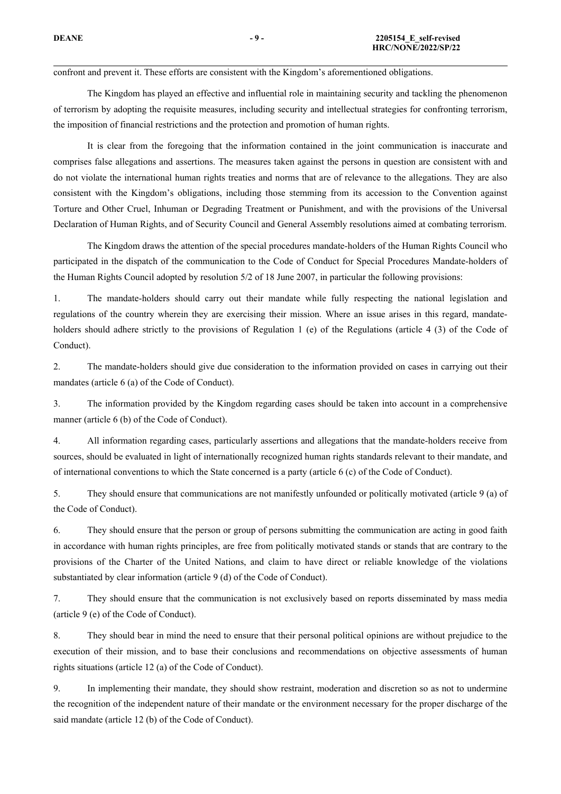confront and preven<sup>t</sup> it. These efforts are consistent with the Kingdom'<sup>s</sup> aforementioned obligations.

The Kingdom has played an effective and influential role in maintaining security and tackling the phenomenon of terrorism by adopting the requisite measures, including security and intellectual strategies for confronting terrorism, the imposition of financial restrictions and the protection and promotion of human rights.

It is clear from the foregoing that the information contained in the joint communication is inaccurate and comprises false allegations and assertions. The measures taken against the persons in question are consistent with and do not violate the international human rights treaties and norms that are of relevance to the allegations. They are also consistent with the Kingdom'<sup>s</sup> obligations, including those stemming from its accession to the Convention against Torture and Other Cruel, Inhuman or Degrading Treatment or Punishment, and with the provisions of the Universal Declaration of Human Rights, and of Security Council and General Assembly resolutions aimed at combating terrorism.

The Kingdom draws the attention of the special procedures mandate-holders of the Human Rights Council who participated in the dispatch of the communication to the Code of Conduct for Special Procedures Mandate-holders of the Human Rights Council adopted by resolution 5/2 of 18 June 2007, in particular the following provisions:

1. The mandate-holders should carry out their mandate while fully respecting the national legislation and regulations of the country wherein they are exercising their mission. Where an issue arises in this regard, mandateholders should adhere strictly to the provisions of Regulation 1 (e) of the Regulations (article 4 (3) of the Code of Conduct).

2. The mandate-holders should give due consideration to the information provided on cases in carrying out their mandates (article 6 (a) of the Code of Conduct).

3. The information provided by the Kingdom regarding cases should be taken into account in <sup>a</sup> comprehensive manner (article 6 (b) of the Code of Conduct).

4. All information regarding cases, particularly assertions and allegations that the mandate-holders receive from sources, should be evaluated in light of internationally recognized human rights standards relevant to their mandate, and of international conventions to which the State concerned is <sup>a</sup> party (article 6 (c) of the Code of Conduct).

5. They should ensure that communications are not manifestly unfounded or politically motivated (article 9 (a) of the Code of Conduct).

6. They should ensure that the person or group of persons submitting the communication are acting in good faith in accordance with human rights principles, are free from politically motivated stands or stands that are contrary to the provisions of the Charter of the United Nations, and claim to have direct or reliable knowledge of the violations substantiated by clear information (article 9 (d) of the Code of Conduct).

7. They should ensure that the communication is not exclusively based on reports disseminated by mass media (article 9 (e) of the Code of Conduct).

8. They should bear in mind the need to ensure that their personal political opinions are without prejudice to the execution of their mission, and to base their conclusions and recommendations on objective assessments of human rights situations (article 12 (a) of the Code of Conduct).

9. In implementing their mandate, they should show restraint, moderation and discretion so as not to undermine the recognition of the independent nature of their mandate or the environment necessary for the proper discharge of the said mandate (article 12 (b) of the Code of Conduct).